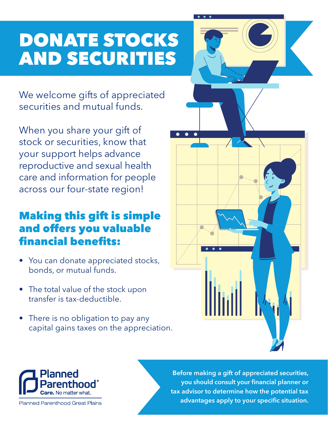## DONATE STOCKS AND SECURITIES

We welcome gifts of appreciated securities and mutual funds.

When you share your gift of stock or securities, know that your support helps advance reproductive and sexual health care and information for people across our four-state region!

#### Making this gift is simple and offers you valuable financial benefits:

- You can donate appreciated stocks, bonds, or mutual funds.
- The total value of the stock upon transfer is tax-deductible.
- There is no obligation to pay any capital gains taxes on the appreciation.





**Planned Parenthood Great Plains** 

**Before making a gift of appreciated securities, you should consult your financial planner or tax advisor to determine how the potential tax advantages apply to your specific situation.**